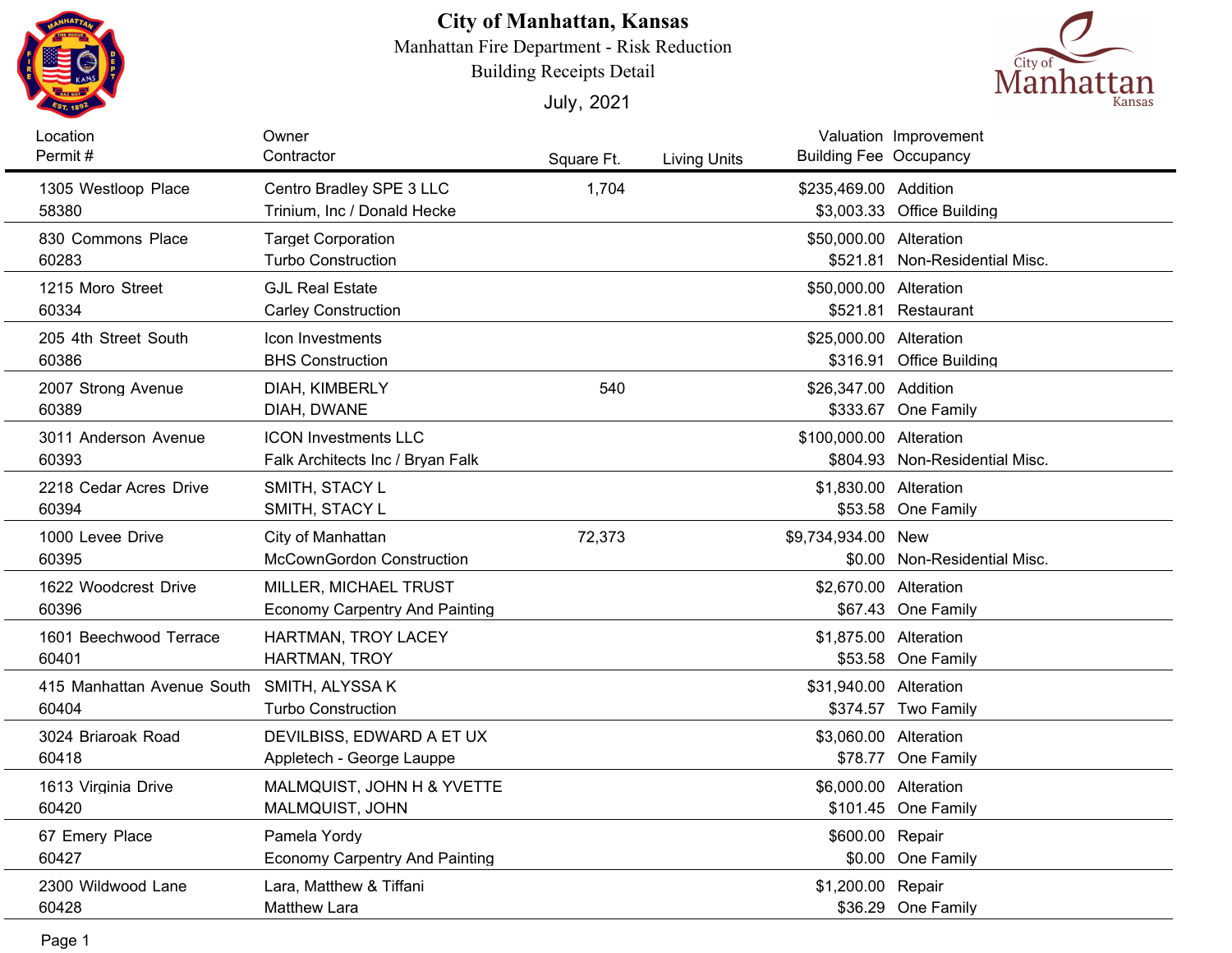

## **City of Manhattan, Kansas**

Manhattan Fire Department - Risk Reduction

Building Receipts Detail





| Location<br>Permit#                 | Owner<br>Contractor                                             | Square Ft. | <b>Living Units</b> | <b>Building Fee Occupancy</b>      | Valuation Improvement          |
|-------------------------------------|-----------------------------------------------------------------|------------|---------------------|------------------------------------|--------------------------------|
| 1305 Westloop Place<br>58380        | Centro Bradley SPE 3 LLC<br>Trinium, Inc / Donald Hecke         | 1,704      |                     | \$235,469.00 Addition              | \$3,003.33 Office Building     |
| 830 Commons Place<br>60283          | <b>Target Corporation</b><br><b>Turbo Construction</b>          |            |                     | \$50,000.00 Alteration<br>\$521.81 | Non-Residential Misc.          |
| 1215 Moro Street<br>60334           | <b>GJL Real Estate</b><br><b>Carley Construction</b>            |            |                     | \$50,000.00 Alteration             | \$521.81 Restaurant            |
| 205 4th Street South<br>60386       | Icon Investments<br><b>BHS Construction</b>                     |            |                     | \$25,000.00 Alteration             | \$316.91 Office Building       |
| 2007 Strong Avenue<br>60389         | DIAH, KIMBERLY<br>DIAH, DWANE                                   | 540        |                     | \$26,347.00 Addition               | \$333.67 One Family            |
| 3011 Anderson Avenue<br>60393       | <b>ICON Investments LLC</b><br>Falk Architects Inc / Bryan Falk |            |                     | \$100,000.00 Alteration            | \$804.93 Non-Residential Misc. |
| 2218 Cedar Acres Drive<br>60394     | SMITH, STACY L<br>SMITH, STACY L                                |            |                     | \$1,830.00 Alteration              | \$53.58 One Family             |
| 1000 Levee Drive<br>60395           | City of Manhattan<br><b>McCownGordon Construction</b>           | 72,373     |                     | \$9,734,934.00 New                 | \$0.00 Non-Residential Misc.   |
| 1622 Woodcrest Drive<br>60396       | MILLER, MICHAEL TRUST<br><b>Economy Carpentry And Painting</b>  |            |                     | \$2,670.00 Alteration              | \$67.43 One Family             |
| 1601 Beechwood Terrace<br>60401     | HARTMAN, TROY LACEY<br>HARTMAN, TROY                            |            |                     | \$1,875.00 Alteration              | \$53.58 One Family             |
| 415 Manhattan Avenue South<br>60404 | SMITH, ALYSSA K<br><b>Turbo Construction</b>                    |            |                     | \$31,940.00 Alteration             | \$374.57 Two Family            |
| 3024 Briaroak Road<br>60418         | DEVILBISS, EDWARD A ET UX<br>Appletech - George Lauppe          |            |                     | \$3,060.00 Alteration              | \$78.77 One Family             |
| 1613 Virginia Drive<br>60420        | MALMQUIST, JOHN H & YVETTE<br>MALMQUIST, JOHN                   |            |                     | \$6,000.00 Alteration              | \$101.45 One Family            |
| 67 Emery Place<br>60427             | Pamela Yordy<br><b>Economy Carpentry And Painting</b>           |            |                     | \$600.00 Repair                    | \$0.00 One Family              |
| 2300 Wildwood Lane<br>60428         | Lara, Matthew & Tiffani<br><b>Matthew Lara</b>                  |            |                     | \$1,200.00 Repair                  | \$36.29 One Family             |
| Page 1                              |                                                                 |            |                     |                                    |                                |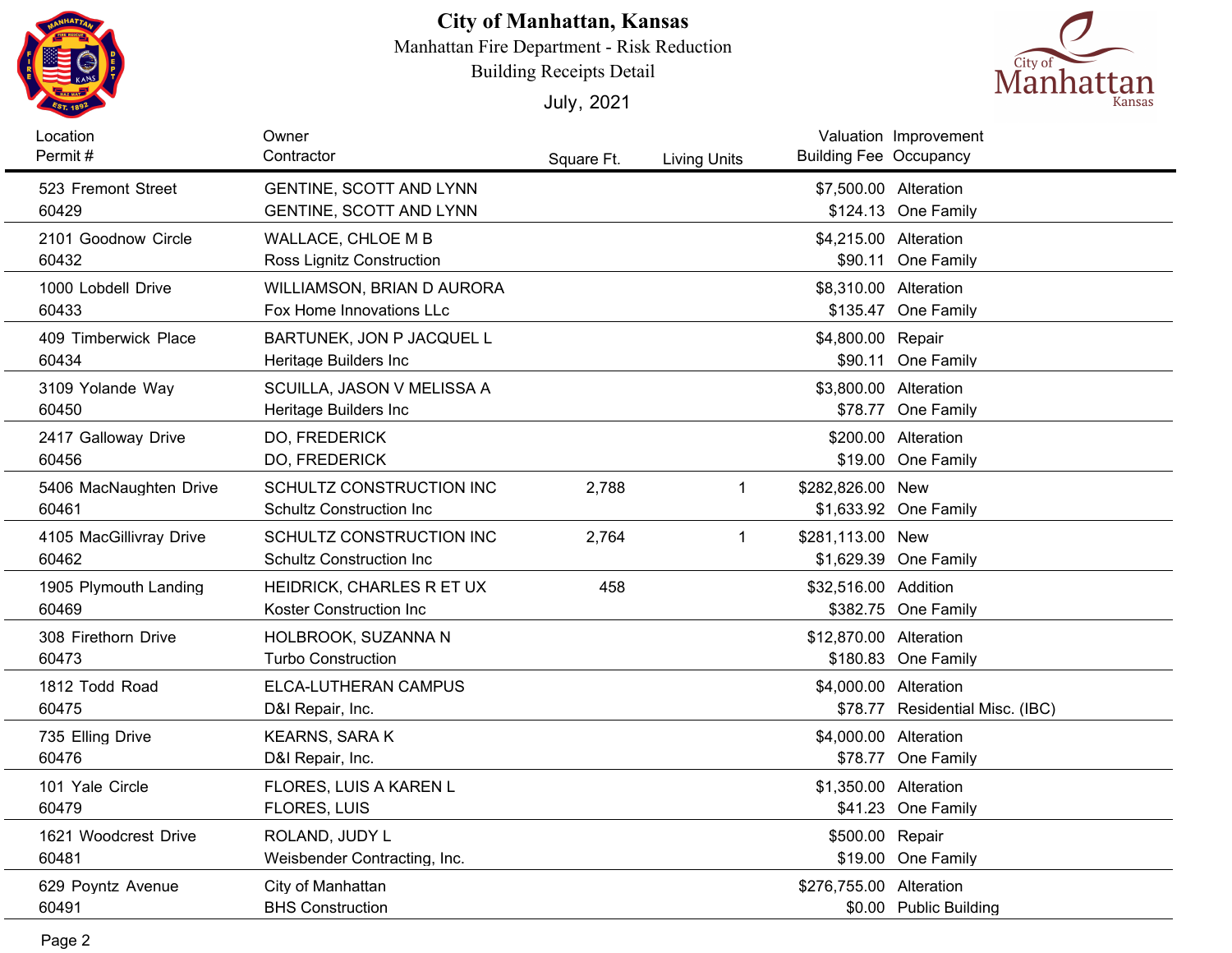

## **City of Manhattan, Kansas**

Manhattan Fire Department - Risk Reduction

Building Receipts Detail

July, 2021



| Location<br>Permit#              | Owner<br>Contractor                                              | Square Ft. | <b>Living Units</b> | <b>Building Fee Occupancy</b> | Valuation Improvement                     |
|----------------------------------|------------------------------------------------------------------|------------|---------------------|-------------------------------|-------------------------------------------|
| 523 Fremont Street<br>60429      | <b>GENTINE, SCOTT AND LYNN</b><br><b>GENTINE, SCOTT AND LYNN</b> |            |                     | \$7,500.00 Alteration         | \$124.13 One Family                       |
| 2101 Goodnow Circle<br>60432     | WALLACE, CHLOE M B<br><b>Ross Lignitz Construction</b>           |            |                     | \$4,215.00 Alteration         | \$90.11 One Family                        |
| 1000 Lobdell Drive<br>60433      | WILLIAMSON, BRIAN D AURORA<br>Fox Home Innovations LLc           |            |                     | \$8,310.00 Alteration         | \$135.47 One Family                       |
| 409 Timberwick Place<br>60434    | BARTUNEK, JON P JACQUEL L<br>Heritage Builders Inc               |            |                     | \$4,800.00 Repair             | \$90.11 One Family                        |
| 3109 Yolande Way<br>60450        | SCUILLA, JASON V MELISSA A<br>Heritage Builders Inc              |            |                     | \$3,800.00 Alteration         | \$78.77 One Family                        |
| 2417 Galloway Drive<br>60456     | DO, FREDERICK<br>DO, FREDERICK                                   |            |                     |                               | \$200.00 Alteration<br>\$19.00 One Family |
| 5406 MacNaughten Drive<br>60461  | SCHULTZ CONSTRUCTION INC<br><b>Schultz Construction Inc.</b>     | 2,788      | 1                   | \$282,826.00 New              | \$1,633.92 One Family                     |
| 4105 MacGillivray Drive<br>60462 | SCHULTZ CONSTRUCTION INC<br><b>Schultz Construction Inc</b>      | 2,764      | $\mathbf{1}$        | \$281,113.00 New              | \$1,629.39 One Family                     |
| 1905 Plymouth Landing<br>60469   | HEIDRICK, CHARLES R ET UX<br>Koster Construction Inc             | 458        |                     | \$32,516.00 Addition          | \$382.75 One Family                       |
| 308 Firethorn Drive<br>60473     | HOLBROOK, SUZANNA N<br>Turbo Construction                        |            |                     | \$12,870.00 Alteration        | \$180.83 One Family                       |
| 1812 Todd Road<br>60475          | ELCA-LUTHERAN CAMPUS<br>D&I Repair, Inc.                         |            |                     | \$4,000.00 Alteration         | \$78.77 Residential Misc. (IBC)           |
| 735 Elling Drive<br>60476        | <b>KEARNS, SARA K</b><br>D&I Repair, Inc.                        |            |                     | \$4,000.00 Alteration         | \$78.77 One Family                        |
| 101 Yale Circle<br>60479         | FLORES, LUIS A KAREN L<br>FLORES, LUIS                           |            |                     | \$1,350.00 Alteration         | \$41.23 One Family                        |
| 1621 Woodcrest Drive<br>60481    | ROLAND, JUDY L<br>Weisbender Contracting, Inc.                   |            |                     | \$500.00 Repair               | \$19.00 One Family                        |
| 629 Poyntz Avenue<br>60491       | City of Manhattan<br><b>BHS Construction</b>                     |            |                     | \$276,755.00 Alteration       | \$0.00 Public Building                    |
|                                  |                                                                  |            |                     |                               |                                           |